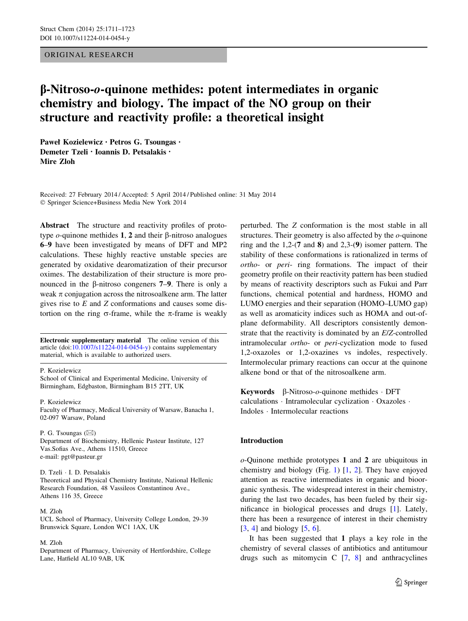# ORIGINAL RESEARCH

# b-Nitroso-o-quinone methides: potent intermediates in organic chemistry and biology. The impact of the NO group on their structure and reactivity profile: a theoretical insight

Paweł Kozielewicz • Petros G. Tsoungas • Demeter Tzeli • Ioannis D. Petsalakis • Mire Zloh

Received: 27 February 2014 / Accepted: 5 April 2014 / Published online: 31 May 2014 - Springer Science+Business Media New York 2014

Abstract The structure and reactivity profiles of prototype  $o$ -quinone methides 1, 2 and their  $\beta$ -nitroso analogues 6–9 have been investigated by means of DFT and MP2 calculations. These highly reactive unstable species are generated by oxidative dearomatization of their precursor oximes. The destabilization of their structure is more pronounced in the  $\beta$ -nitroso congeners 7–9. There is only a weak  $\pi$  conjugation across the nitrosoalkene arm. The latter gives rise to  $E$  and  $Z$  conformations and causes some distortion on the ring  $\sigma$ -frame, while the  $\pi$ -frame is weakly

Electronic supplementary material The online version of this article  $(doi:10.1007/s11224-014-0454-y)$  $(doi:10.1007/s11224-014-0454-y)$  contains supplementary material, which is available to authorized users.

#### P. Kozielewicz

School of Clinical and Experimental Medicine, University of Birmingham, Edgbaston, Birmingham B15 2TT, UK

#### P. Kozielewicz

Faculty of Pharmacy, Medical University of Warsaw, Banacha 1, 02-097 Warsaw, Poland

#### P. G. Tsoungas  $(\boxtimes)$ Department of Biochemistry, Hellenic Pasteur Institute, 127 Vas.Sofias Ave., Athens 11510, Greece e-mail: pgt@pasteur.gr

# D. Tzeli - I. D. Petsalakis

Theoretical and Physical Chemistry Institute, National Hellenic Research Foundation, 48 Vassileos Constantinou Ave., Athens 116 35, Greece

#### M. Zloh

UCL School of Pharmacy, University College London, 29-39 Brunswick Square, London WC1 1AX, UK

#### M. Zloh

Department of Pharmacy, University of Hertfordshire, College Lane, Hatfield AL10 9AB, UK

perturbed. The Z conformation is the most stable in all structures. Their geometry is also affected by the  $o$ -quinone ring and the 1,2-(7 and 8) and 2,3-(9) isomer pattern. The stability of these conformations is rationalized in terms of ortho- or peri- ring formations. The impact of their geometry profile on their reactivity pattern has been studied by means of reactivity descriptors such as Fukui and Parr functions, chemical potential and hardness, HOMO and LUMO energies and their separation (HOMO–LUMO gap) as well as aromaticity indices such as HOMA and out-ofplane deformability. All descriptors consistently demonstrate that the reactivity is dominated by an E/Z-controlled intramolecular ortho- or peri-cyclization mode to fused 1,2-oxazoles or 1,2-oxazines vs indoles, respectively. Intermolecular primary reactions can occur at the quinone alkene bond or that of the nitrosoalkene arm.

**Keywords**  $\beta$ -Nitroso-o-quinone methides  $\cdot$  DFT calculations - Intramolecular cyclization - Oxazoles - Indoles - Intermolecular reactions

# Introduction

o-Quinone methide prototypes 1 and 2 are ubiquitous in chemistry and biology (Fig. [1](#page-1-0)) [[1,](#page-10-0) [2\]](#page-10-0). They have enjoyed attention as reactive intermediates in organic and bioorganic synthesis. The widespread interest in their chemistry, during the last two decades, has been fueled by their significance in biological processes and drugs [\[1\]](#page-10-0). Lately, there has been a resurgence of interest in their chemistry [\[3](#page-11-0), [4](#page-11-0)] and biology [[5,](#page-11-0) [6\]](#page-11-0).

It has been suggested that 1 plays a key role in the chemistry of several classes of antibiotics and antitumour drugs such as mitomycin  $C$   $[7, 8]$  $[7, 8]$  $[7, 8]$  and anthracyclines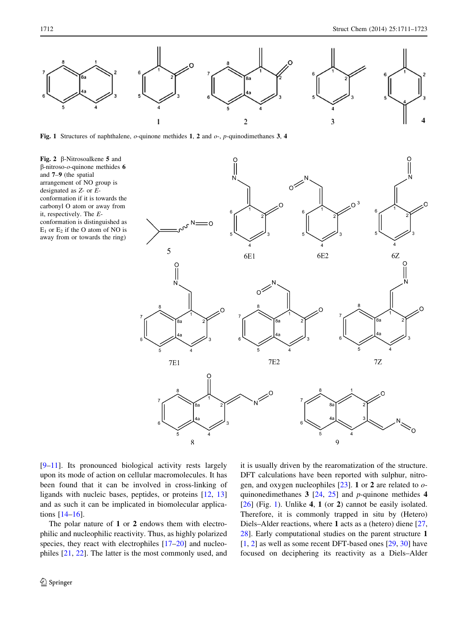<span id="page-1-0"></span>

Fig. 1 Structures of naphthalene,  $o$ -quinone methides 1, 2 and  $o$ -,  $p$ -quinodimethanes 3, 4

Fig. 2  $\beta$ -Nitrosoalkene 5 and  $\beta$ -nitroso- $o$ -quinone methides 6 and 7–9 (the spatial arrangement of NO group is designated as Z- or Econformation if it is towards the carbonyl O atom or away from it, respectively. The Econformation is distinguished as  $E_1$  or  $E_2$  if the O atom of NO is away from or towards the ring)



[\[9–11](#page-11-0)]. Its pronounced biological activity rests largely upon its mode of action on cellular macromolecules. It has been found that it can be involved in cross-linking of ligands with nucleic bases, peptides, or proteins [\[12](#page-11-0), [13\]](#page-11-0) and as such it can be implicated in biomolecular applications [\[14–16](#page-11-0)].

The polar nature of 1 or 2 endows them with electrophilic and nucleophilic reactivity. Thus, as highly polarized species, they react with electrophiles  $[17–20]$  $[17–20]$  and nucleophiles [\[21](#page-11-0), [22\]](#page-11-0). The latter is the most commonly used, and

it is usually driven by the rearomatization of the structure. DFT calculations have been reported with sulphur, nitrogen, and oxygen nucleophiles  $[23]$  $[23]$ . 1 or 2 are related to  $o$ quinonedimethanes 3 [[24,](#page-11-0) [25\]](#page-11-0) and p-quinone methides 4  $[26]$  $[26]$  (Fig. 1). Unlike 4, 1 (or 2) cannot be easily isolated. Therefore, it is commonly trapped in situ by (Hetero) Diels–Alder reactions, where 1 acts as a (hetero) diene [[27,](#page-11-0) [28](#page-11-0)]. Early computational studies on the parent structure 1 [\[1](#page-10-0), [2\]](#page-10-0) as well as some recent DFT-based ones [\[29](#page-11-0), [30](#page-11-0)] have focused on deciphering its reactivity as a Diels–Alder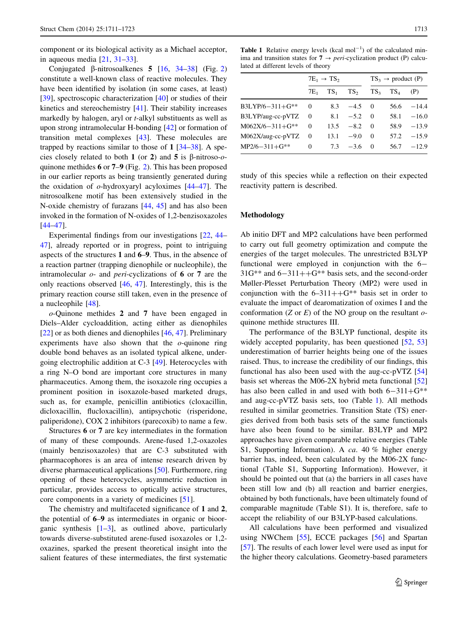<span id="page-2-0"></span>component or its biological activity as a Michael acceptor, in aqueous media [\[21](#page-11-0), [31–33](#page-11-0)].

Conjugated  $\beta$ -nitrosoalkenes 5 [[16,](#page-11-0) [34–38](#page-11-0)] (Fig. [2\)](#page-1-0) constitute a well-known class of reactive molecules. They have been identified by isolation (in some cases, at least) [\[39](#page-11-0)], spectroscopic characterization [\[40](#page-11-0)] or studies of their kinetics and stereochemistry [[41\]](#page-11-0). Their stability increases markedly by halogen, aryl or t-alkyl substituents as well as upon strong intramolecular H-bonding [[42\]](#page-11-0) or formation of transition metal complexes [[43\]](#page-11-0). These molecules are trapped by reactions similar to those of  $1 \frac{34-38}{3}$ . A species closely related to both 1 (or 2) and 5 is  $\beta$ -nitroso-*o*quinone methides 6 or 7–9 (Fig. [2](#page-1-0)). This has been proposed in our earlier reports as being transiently generated during the oxidation of  $o$ -hydroxyaryl acyloximes  $[44–47]$  $[44–47]$ . The nitrosoalkene motif has been extensively studied in the N-oxide chemistry of furazans [[44,](#page-11-0) [45\]](#page-11-0) and has also been invoked in the formation of N-oxides of 1,2-benzisoxazoles [\[44–47](#page-11-0)].

Experimental findings from our investigations [\[22](#page-11-0), [44](#page-11-0)– [47\]](#page-11-0), already reported or in progress, point to intriguing aspects of the structures 1 and 6–9. Thus, in the absence of a reaction partner (trapping dienophile or nucleophile), the intramolecular  $o$ - and *peri*-cyclizations of 6 or 7 are the only reactions observed [[46,](#page-11-0) [47\]](#page-11-0). Interestingly, this is the primary reaction course still taken, even in the presence of a nucleophile [\[48](#page-11-0)].

o-Quinone methides 2 and 7 have been engaged in Diels–Alder cycloaddition, acting either as dienophiles [\[22](#page-11-0)] or as both dienes and dienophiles [[46,](#page-11-0) [47\]](#page-11-0). Preliminary experiments have also shown that the  $o$ -quinone ring double bond behaves as an isolated typical alkene, undergoing electrophilic addition at C-3 [\[49](#page-11-0)]. Heterocycles with a ring N–O bond are important core structures in many pharmaceutics. Among them, the isoxazole ring occupies a prominent position in isoxazole-based marketed drugs, such as, for example, penicillin antibiotics (cloxacillin, dicloxacillin, flucloxacillin), antipsychotic (risperidone, paliperidone), COX 2 inhibitors (parecoxib) to name a few.

Structures 6 or 7 are key intermediates in the formation of many of these compounds. Arene-fused 1,2-oxazoles (mainly benzisoxazoles) that are C-3 substituted with pharmacophores is an area of intense research driven by diverse pharmaceutical applications [\[50](#page-11-0)]. Furthermore, ring opening of these heterocycles, asymmetric reduction in particular, provides access to optically active structures, core components in a variety of medicines [\[51](#page-11-0)].

The chemistry and multifaceted significance of 1 and 2, the potential of 6–9 as intermediates in organic or bioorganic synthesis  $[1-3]$  $[1-3]$ , as outlined above, particularly towards diverse-substituted arene-fused isoxazoles or 1,2 oxazines, sparked the present theoretical insight into the salient features of these intermediates, the first systematic

**Table 1** Relative energy levels (kcal  $mol^{-1}$ ) of the calculated minima and transition states for  $7 \rightarrow peri$ -cyclization product (P) calculated at different levels of theory

|                          | $7E_1 \rightarrow TS_2$ |        |                 | $TS_3 \rightarrow \text{product (P)}$ |        |         |
|--------------------------|-------------------------|--------|-----------------|---------------------------------------|--------|---------|
|                          | 7E <sub>1</sub>         | $TS_1$ | TS <sub>2</sub> | TS <sub>3</sub>                       | $TS_4$ | (P)     |
| $B3LYP/6-311+G^{**}$     | $\Omega$                | 8.3    | $-4.5$          | - 0                                   | 56.6   | $-14.4$ |
| B3LYP/aug-cc-pVTZ        | - 0                     | 8.1    | $-5.2$          | $\Omega$                              | 58.1   | $-16.0$ |
| $M062X/6 - 311 + G^{**}$ | $\Omega$                | 13.5   | $-8.2$          | $\Omega$                              | 58.9   | $-13.9$ |
| M062X/aug-cc-pVTZ        | $\Omega$                | 13.1   | $-9.0$          | $\Omega$                              | 57.2   | $-15.9$ |
| $MP2/6 - 311 + G**$      | $\Omega$                | 7.3    | $-3.6$          | $\Omega$                              | 56.7   | $-12.9$ |

study of this species while a reflection on their expected reactivity pattern is described.

### Methodology

Ab initio DFT and MP2 calculations have been performed to carry out full geometry optimization and compute the energies of the target molecules. The unrestricted B3LYP functional were employed in conjunction with the 6-  $31G^{**}$  and  $6-311++G^{**}$  basis sets, and the second-order Møller-Plesset Perturbation Theory (MP2) were used in conjunction with the  $6-311++G**$  basis set in order to evaluate the impact of dearomatization of oximes I and the conformation (Z or E) of the NO group on the resultant  $o$ quinone methide structures III.

The performance of the B3LYP functional, despite its widely accepted popularity, has been questioned [[52,](#page-11-0) [53\]](#page-11-0) underestimation of barrier heights being one of the issues raised. Thus, to increase the credibility of our findings, this functional has also been used with the aug-cc-pVTZ [[54\]](#page-11-0) basis set whereas the M06-2X hybrid meta functional [[52\]](#page-11-0) has also been called in and used with both  $6-311+G^{**}$ and aug-cc-pVTZ basis sets, too (Table 1). All methods resulted in similar geometries. Transition State (TS) energies derived from both basis sets of the same functionals have also been found to be similar. B3LYP and MP2 approaches have given comparable relative energies (Table S1, Supporting Information). A ca. 40 % higher energy barrier has, indeed, been calculated by the M06-2X functional (Table S1, Supporting Information). However, it should be pointed out that (a) the barriers in all cases have been still low and (b) all reaction and barrier energies, obtained by both functionals, have been ultimately found of comparable magnitude (Table S1). It is, therefore, safe to accept the reliability of our B3LYP-based calculations.

All calculations have been performed and visualized using NWChem [\[55](#page-11-0)], ECCE packages [[56\]](#page-11-0) and Spartan [\[57](#page-11-0)]. The results of each lower level were used as input for the higher theory calculations. Geometry-based parameters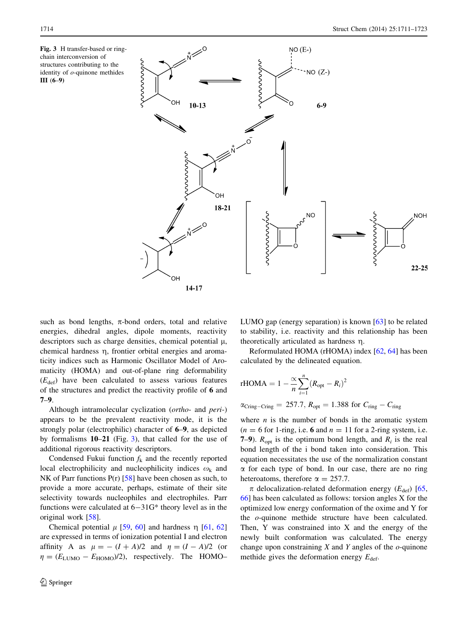<span id="page-3-0"></span>Fig. 3 H transfer-based or ringchain interconversion of structures contributing to the identity of  $o$ -quinone methides III (6–9)



such as bond lengths,  $\pi$ -bond orders, total and relative energies, dihedral angles, dipole moments, reactivity descriptors such as charge densities, chemical potential  $\mu$ , chemical hardness  $\eta$ , frontier orbital energies and aromaticity indices such as Harmonic Oscillator Model of Aromaticity (HOMA) and out-of-plane ring deformability  $(E_{\text{def}})$  have been calculated to assess various features of the structures and predict the reactivity profile of 6 and 7–9.

Although intramolecular cyclization (ortho- and peri-) appears to be the prevalent reactivity mode, it is the strongly polar (electrophilic) character of 6–9, as depicted by formalisms 10–21 (Fig. 3), that called for the use of additional rigorous reactivity descriptors.

Condensed Fukui function  $f_k$  and the recently reported local electrophilicity and nucleophilicity indices  $\omega_k$  and NK of Parr functions  $P(r)$  [[58\]](#page-11-0) have been chosen as such, to provide a more accurate, perhaps, estimate of their site selectivity towards nucleophiles and electrophiles. Parr functions were calculated at  $6-31G^*$  theory level as in the original work [[58\]](#page-11-0).

Chemical potential  $\mu$  [[59,](#page-11-0) [60](#page-11-0)] and hardness  $\eta$  [[61,](#page-11-0) [62\]](#page-11-0) are expressed in terms of ionization potential I and electron affinity A as  $\mu = - (I + A)/2$  and  $\eta = (I - A)/2$  (or  $\eta = (E_{\text{LUMO}} - E_{\text{HOMO}})/2)$ , respectively. The HOMO–

LUMO gap (energy separation) is known [\[63](#page-11-0)] to be related to stability, i.e. reactivity and this relationship has been theoretically articulated as hardness  $\eta$ .

Reformulated HOMA (rHOMA) index [[62,](#page-11-0) [64\]](#page-11-0) has been calculated by the delineated equation.

rHOMA = 
$$
1 - \frac{\alpha}{n} \sum_{i=1}^{n} (R_{\text{opt}} - R_i)^2
$$
  
\n $\alpha_{\text{Cring}-\text{Cring}} = 257.7$ ,  $R_{\text{opt}} = 1.388$  for  $C_{\text{ring}} - C_{\text{ring}}$ 

where  $n$  is the number of bonds in the aromatic system  $(n = 6$  for 1-ring, i.e. 6 and  $n = 11$  for a 2-ring system, i.e. 7–9).  $R_{opt}$  is the optimum bond length, and  $R_i$  is the real bond length of the i bond taken into consideration. This equation necessitates the use of the normalization constant  $\alpha$  for each type of bond. In our case, there are no ring heteroatoms, therefore  $\alpha = 257.7$ .

 $\pi$  delocalization-related deformation energy ( $E_{\text{def}}$ ) [[65,](#page-11-0) [66](#page-11-0)] has been calculated as follows: torsion angles X for the optimized low energy conformation of the oxime and Y for the o-quinone methide structure have been calculated. Then, Y was constrained into X and the energy of the newly built conformation was calculated. The energy change upon constraining  $X$  and  $Y$  angles of the  $o$ -quinone methide gives the deformation energy  $E_{\text{def}}$ .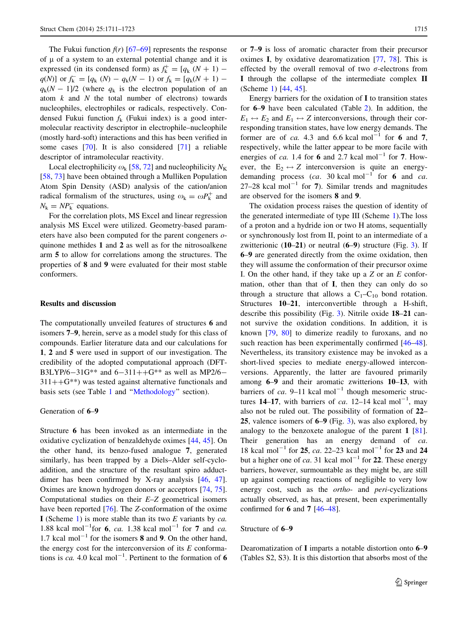<span id="page-4-0"></span>The Fukui function  $f(r)$  [[67–69\]](#page-11-0) represents the response of  $\mu$  of a system to an external potential change and it is expressed (in its condensed form) as  $f_k^+ = [q_k (N + 1)$  $q(N)$ ] or  $f_k^- = [q_k(N) - q_k(N - 1)$  or  $f_k = [q_k(N + 1)$  $q_k(N - 1)/2$  (where  $q_k$  is the electron population of an atom  $k$  and  $N$  the total number of electrons) towards nucleophiles, electrophiles or radicals, respectively. Condensed Fukui function  $f_k$  (Fukui index) is a good intermolecular reactivity descriptor in electrophile–nucleophile (mostly hard-soft) interactions and this has been verified in some cases [\[70](#page-11-0)]. It is also considered [\[71](#page-12-0)] a reliable descriptor of intramolecular reactivity.

Local electrophilicity  $\omega_k$  [\[58](#page-11-0), [72](#page-12-0)] and nucleophilicity  $N_K$ [\[58](#page-11-0), [73](#page-12-0)] have been obtained through a Mulliken Population Atom Spin Density (ASD) analysis of the cation/anion radical formalism of the structures, using  $\omega_k = \omega P_k^+$  and  $N_{\rm k} = NP_{\rm k}^-$  equations.

For the correlation plots, MS Excel and linear regression analysis MS Excel were utilized. Geometry-based parameters have also been computed for the parent congeners oquinone methides 1 and 2 as well as for the nitrosoalkene arm 5 to allow for correlations among the structures. The properties of 8 and 9 were evaluated for their most stable conformers.

# Results and discussion

The computationally unveiled features of structures 6 and isomers 7–9, herein, serve as a model study for this class of compounds. Earlier literature data and our calculations for 1, 2 and 5 were used in support of our investigation. The credibility of the adopted computational approach (DFT-B3LYP/6-31G\*\* and 6-311++G\*\* as well as MP2/6- $311++G^{**}$ ) was tested against alternative functionals and basis sets (see Table [1](#page-2-0) and ''[Methodology'](#page-2-0)' section).

# Generation of 6–9

Structure 6 has been invoked as an intermediate in the oxidative cyclization of benzaldehyde oximes [[44,](#page-11-0) [45](#page-11-0)]. On the other hand, its benzo-fused analogue 7, generated similarly, has been trapped by a Diels–Alder self-cycloaddition, and the structure of the resultant spiro adductdimer has been confirmed by X-ray analysis [\[46](#page-11-0), [47](#page-11-0)]. Oximes are known hydrogen donors or acceptors [[74,](#page-12-0) [75](#page-12-0)]. Computational studies on their E–Z geometrical isomers have been reported [\[76](#page-12-0)]. The Z-conformation of the oxime I (Scheme [1](#page-5-0)) is more stable than its two  $E$  variants by  $ca$ . 1.88 kcal mol<sup>-1</sup> for 6, ca. 1.38 kcal mol<sup>-1</sup> for 7 and ca. 1.7 kcal mol<sup>-1</sup> for the isomers 8 and 9. On the other hand, the energy cost for the interconversion of its  $E$  conformations is ca. 4.0 kcal mol<sup>-1</sup>. Pertinent to the formation of 6

or 7–9 is loss of aromatic character from their precursor oximes I, by oxidative dearomatization [\[77](#page-12-0), [78](#page-12-0)]. This is effected by the overall removal of two  $\sigma$ -electrons from I through the collapse of the intermediate complex II (Scheme [1](#page-5-0)) [\[44](#page-11-0), [45](#page-11-0)].

Energy barriers for the oxidation of I to transition states for 6–9 have been calculated (Table [2\)](#page-5-0). In addition, the  $E_1 \leftrightarrow E_2$  and  $E_1 \leftrightarrow Z$  interconversions, through their corresponding transition states, have low energy demands. The former are of ca. 4.3 and 6.6 kcal mol<sup>-1</sup> for 6 and 7, respectively, while the latter appear to be more facile with energies of ca. 1.4 for 6 and 2.7 kcal mol<sup>-1</sup> for 7. However, the  $E_2 \leftrightarrow Z$  interconversion is quite an energydemanding process (ca. 30 kcal mol<sup>-1</sup> for 6 and ca.  $27-28$  kcal mol<sup>-1</sup> for 7). Similar trends and magnitudes are observed for the isomers 8 and 9.

The oxidation process raises the question of identity of the generated intermediate of type III (Scheme [1](#page-5-0)).The loss of a proton and a hydride ion or two H atoms, sequentially or synchronously lost from II, point to an intermediate of a zwitterionic  $(10-21)$  or neutral  $(6-9)$  structure (Fig. [3](#page-3-0)). If 6–9 are generated directly from the oxime oxidation, then they will assume the conformation of their precursor oxime I. On the other hand, if they take up a  $Z$  or an  $E$  conformation, other than that of I, then they can only do so through a structure that allows a  $C_1-C_{10}$  bond rotation. Structures 10–21, interconvertible through a H-shift, describe this possibility (Fig. [3\)](#page-3-0). Nitrile oxide 18–21 cannot survive the oxidation conditions. In addition, it is known [\[79](#page-12-0), [80](#page-12-0)] to dimerize readily to furoxans, and no such reaction has been experimentally confirmed  $[46-48]$ . Nevertheless, its transitory existence may be invoked as a short-lived species to mediate energy-allowed interconversions. Apparently, the latter are favoured primarily among 6–9 and their aromatic zwitterions 10–13, with barriers of ca. 9–11 kcal mol<sup>-1</sup> though mesomeric structures 14–17, with barriers of ca. 12–14 kcal mol<sup>-1</sup>, may also not be ruled out. The possibility of formation of 22– 25, valence isomers of 6–9 (Fig. [3\)](#page-3-0), was also explored, by analogy to the benzoxete analogue of the parent 1 [\[81](#page-12-0)]. Their generation has an energy demand of ca. 18 kcal mol<sup>-1</sup> for **25**, *ca*. 22–23 kcal mol<sup>-1</sup> for **23** and **24** but a higher one of ca. 31 kcal mol<sup>-1</sup> for **22**. These energy barriers, however, surmountable as they might be, are still up against competing reactions of negligible to very low energy cost, such as the ortho- and peri-cyclizations actually observed, as has, at present, been experimentally confirmed for 6 and 7 [[46–48\]](#page-11-0).

#### Structure of 6–9

Dearomatization of I imparts a notable distortion onto 6–9 (Tables S2, S3). It is this distortion that absorbs most of the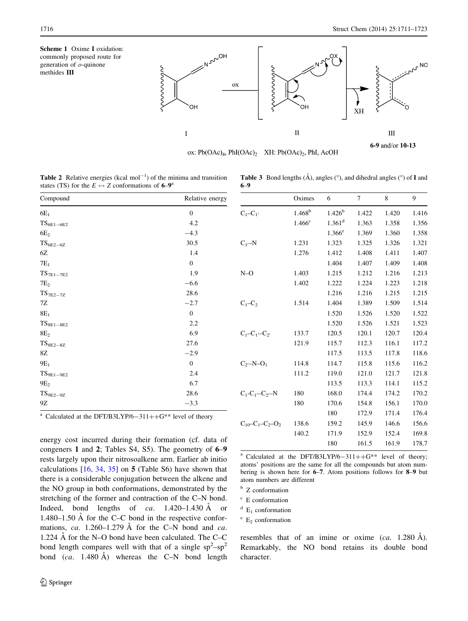<span id="page-5-0"></span>



ox:  $Pb(OAc)<sub>4</sub>$ ,  $PhI(OAc)<sub>2</sub>$  XH:  $Pb(OAc)<sub>2</sub>$ ,  $PhI$ , AcOH

6–9

6-9 and/or 10-13

**Table 2** Relative energies (kcal mol<sup>-1</sup>) of the minima and transition states (TS) for the  $E \leftrightarrow Z$  conformations of 6–9<sup>a</sup>

| Compound                            | Relative energy  |  |  |
|-------------------------------------|------------------|--|--|
| $6E_1$                              | $\boldsymbol{0}$ |  |  |
| ${\rm TS}_{6{\rm E1-6{\rm E2}}}$    | 4.2              |  |  |
| 6E <sub>2</sub>                     | $-4.3$           |  |  |
| ${\rm TS}_{6\to 2-6\mathbf{Z}}$     | 30.5             |  |  |
| 6Z                                  | 1.4              |  |  |
| $7E_1$                              | $\boldsymbol{0}$ |  |  |
| $\text{TS}_{\text{7E1}-\text{7E2}}$ | 1.9              |  |  |
| $7E_2$                              | $-6.6$           |  |  |
| $TS$ <sub>7E2-7Z</sub>              | 28.6             |  |  |
| 7Ζ                                  | $-2.7$           |  |  |
| $8E_1$                              | $\boldsymbol{0}$ |  |  |
| ${\rm TS}_{8\to1-8\to2}$            | 2.2              |  |  |
| 8E <sub>2</sub>                     | 6.9              |  |  |
| $\text{TS}_{8\to 2-8\text{Z}}$      | 27.6             |  |  |
| 8Z                                  | $-2.9$           |  |  |
| $9E_1$                              | $\boldsymbol{0}$ |  |  |
| $TS_{9E1-9E2}$                      | 2.4              |  |  |
| 9E <sub>2</sub>                     | 6.7              |  |  |
| ${\rm TS}_{9E2-9Z}$                 | 28.6             |  |  |
| 9Ζ                                  | $-3.3$           |  |  |
|                                     |                  |  |  |

|                                  | Oximes          | 6                    | 7     | 8     | 9     |
|----------------------------------|-----------------|----------------------|-------|-------|-------|
| $C_1 - C_1$                      | $1.468^b$       | $1.426^b$            | 1.422 | 1.420 | 1.416 |
|                                  | $1.466^{\circ}$ | $1.361$ <sup>d</sup> | 1.363 | 1.358 | 1.356 |
|                                  |                 | $1.366^e$            | 1.369 | 1.360 | 1.358 |
| $C_{1'}-N$                       | 1.231           | 1.323                | 1.325 | 1.326 | 1.321 |
|                                  | 1.276           | 1.412                | 1.408 | 1.411 | 1.407 |
|                                  |                 | 1.404                | 1.407 | 1.409 | 1.408 |
| $N=O$                            | 1.403           | 1.215                | 1.212 | 1.216 | 1.213 |
|                                  | 1.402           | 1.222                | 1.224 | 1.223 | 1.218 |
|                                  |                 | 1.216                | 1.216 | 1.215 | 1.215 |
| $C_1 - C_2$                      | 1.514           | 1.404                | 1.389 | 1.509 | 1.514 |
|                                  |                 | 1.520                | 1.526 | 1.520 | 1.522 |
|                                  |                 | 1.520                | 1.526 | 1.521 | 1.523 |
| $C_1 - C_1 - C_2$                | 133.7           | 120.5                | 120.1 | 120.7 | 120.4 |
|                                  | 121.9           | 115.7                | 112.3 | 116.1 | 117.2 |
|                                  |                 | 117.5                | 113.5 | 117.8 | 118.6 |
| $C_{2}$ -N-O <sub>1</sub>        | 114.8           | 114.7                | 115.8 | 115.6 | 116.2 |
|                                  | 111.2           | 119.0                | 121.0 | 121.7 | 121.8 |
|                                  |                 | 113.5                | 113.3 | 114.1 | 115.2 |
| $C_1 - C_1 - C_2 - N$            | 180             | 168.0                | 174.4 | 174.2 | 170.2 |
|                                  | 180             | 170.6                | 154.8 | 156.1 | 170.0 |
|                                  |                 | 180                  | 172.9 | 171.4 | 176.4 |
| $C_{10}$ - $C_1$ - $C_2$ - $O_2$ | 138.6           | 159.2                | 145.9 | 146.6 | 156.6 |
|                                  | 140.2           | 171.9                | 152.9 | 152.4 | 169.8 |
|                                  |                 | 180                  | 161.5 | 161.9 | 178.7 |

**Table 3** Bond lengths  $(\hat{A})$ , angles  $(\hat{c})$ , and dihedral angles  $(\hat{c})$  of **I** and

<sup>a</sup> Calculated at the DFT/B3LYP/6-311++G<sup>\*\*</sup> level of theory

energy cost incurred during their formation (cf. data of congeners 1 and 2; Tables S4, S5). The geometry of 6–9 rests largely upon their nitrosoalkene arm. Earlier ab initio calculations  $[16, 34, 35]$  $[16, 34, 35]$  $[16, 34, 35]$  $[16, 34, 35]$  $[16, 34, 35]$  $[16, 34, 35]$  $[16, 34, 35]$  on 5 (Table S6) have shown that there is a considerable conjugation between the alkene and the NO group in both conformations, demonstrated by the stretching of the former and contraction of the C–N bond. Indeed, bond lengths of  $ca. \quad 1.420-1.430 \text{ Å}$  or 1.480–1.50 Å for the C–C bond in the respective conformations, ca. 1.260–1.279  $\AA$  for the C–N bond and ca. 1.224  $\AA$  for the N–O bond have been calculated. The C–C bond length compares well with that of a single  $sp^2-sp^2$ bond  $(ca. 1.480 \text{ Å})$  whereas the C–N bond length

<sup>a</sup> Calculated at the DFT/B3LYP/6-311++G\*\* level of theory; atoms' positions are the same for all the compounds but atom numbering is shown here for 6–7. Atom positions follows for 8–9 but atom numbers are different

<sup>b</sup> Z conformation

 $\degree$  E conformation

 $E_1$  conformation

 $^{\circ}$  E<sub>2</sub> conformation

resembles that of an imine or oxime  $(ca. 1.280 \text{ Å}).$ Remarkably, the NO bond retains its double bond character.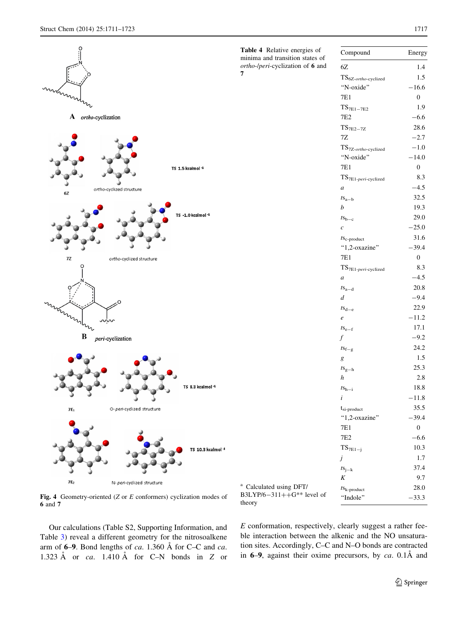<span id="page-6-0"></span>

Fig. 4 Geometry-oriented (Z or E conformers) cyclization modes of 6 and 7

Our calculations (Table S2, Supporting Information, and Table [3](#page-5-0)) reveal a different geometry for the nitrosoalkene arm of  $6-9$ . Bond lengths of ca. 1.360 Å for C–C and ca. 1.323 Å or ca. 1.410 Å for C–N bonds in Z or

Table 4 Relative energies of minima and transition states of ortho-/peri-cyclization of 6 and

| <b>Table 4</b> Relative energies of<br>minima and transition states of | Compound                                         | Energy           |
|------------------------------------------------------------------------|--------------------------------------------------|------------------|
| ortho-/peri-cyclization of 6 and                                       | 6Z                                               | 1.4              |
| 7                                                                      | $TS_{6Z\text{-}ortho\text{-}cycliced}$           | 1.5              |
|                                                                        | "N-oxide"                                        | $-16.6$          |
|                                                                        | 7E1                                              | $\boldsymbol{0}$ |
|                                                                        | $\text{TS}_{\text{7E1}-\text{7E2}}$              | 1.9              |
|                                                                        | 7E <sub>2</sub>                                  | $-6.6$           |
|                                                                        | $TS$ <sub>7E2-7Z</sub>                           | 28.6             |
|                                                                        | 7Ζ                                               | $-2.7$           |
|                                                                        | $TS_{7Z\text{-}ortho\text{-}cycliced}$           | $-1.0$           |
|                                                                        | "N-oxide"                                        | $-14.0$          |
|                                                                        | 7E1                                              | $\boldsymbol{0}$ |
|                                                                        | ${\rm TS}_{\rm 7E1\text{-}peri\text{-}cycliced}$ | 8.3              |
|                                                                        | $\boldsymbol{a}$                                 | $-4.5$           |
|                                                                        | $t s_{a-b}$                                      | 32.5             |
|                                                                        | b                                                | 19.3             |
|                                                                        | $t s_{b-c}$                                      | 29.0             |
|                                                                        | $\boldsymbol{c}$                                 | $-25.0$          |
|                                                                        | $t$ S <sub>c-product</sub>                       | 31.6             |
|                                                                        | "1,2-oxazine"                                    | $-39.4$          |
|                                                                        | 7E1                                              | $\boldsymbol{0}$ |
|                                                                        | ${\rm TS}_{\rm 7E1\text{-}peri\text{-}cycliced}$ | 8.3              |
|                                                                        | $\boldsymbol{a}$                                 | $-4.5$           |
|                                                                        | $t s_{a-d}$                                      | 20.8             |
|                                                                        | d                                                | $-9.4$           |
|                                                                        | $ts_{d-e}$                                       | 22.9             |
|                                                                        | e                                                | $-11.2$          |
|                                                                        | $t s_{e-f}$                                      | 17.1             |
|                                                                        | f                                                | $-9.2$           |
|                                                                        | $ts_{f-g}$                                       | 24.2             |
|                                                                        | g                                                | 1.5              |
|                                                                        | $t s_{g-h}$                                      | 25.3             |
|                                                                        | $\boldsymbol{h}$                                 | 2.8              |
|                                                                        | $ts_{h-i}$                                       | 18.8             |
|                                                                        | $\dot{i}$                                        | $-11.8$          |
|                                                                        | $t_{si-product}$                                 | 35.5             |
|                                                                        | "1,2-oxazine"                                    | $-39.4$          |
|                                                                        | 7E1                                              | $\boldsymbol{0}$ |
|                                                                        | 7E2                                              | $-6.6$           |
|                                                                        | ${\rm TS}_{7E1-j}$                               | 10.3             |
|                                                                        | j                                                | 1.7              |
|                                                                        | $ts_{j-k}$                                       | 37.4             |
|                                                                        | K                                                | 9.7              |
| <sup>a</sup> Calculated using DFT/<br>B3LYP/6-311++ $G^{**}$ level of  | $t_{k-product}$                                  | 28.0             |
| theory                                                                 | "Indole"                                         | $-33.3$          |

E conformation, respectively, clearly suggest a rather feeble interaction between the alkenic and the NO unsaturation sites. Accordingly, C–C and N–O bonds are contracted in  $6-9$ , against their oxime precursors, by ca. 0.1Å and

theory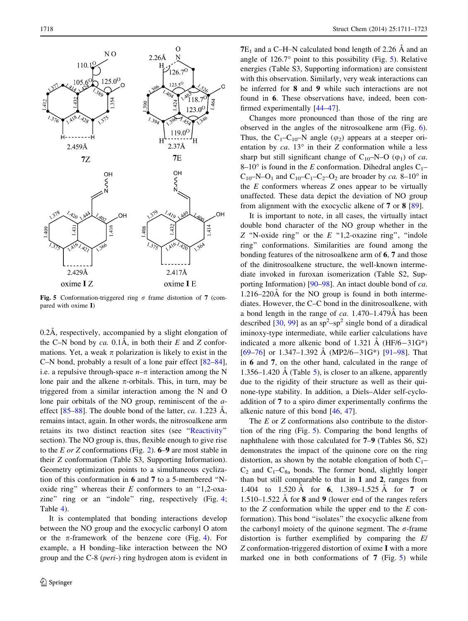<span id="page-7-0"></span>

Fig. 5 Conformation-triggered ring  $\sigma$  frame distortion of 7 (compared with oxime I)

0.2Å, respectively, accompanied by a slight elongation of the C–N bond by ca. 0.1Å, in both their  $E$  and  $Z$  conformations. Yet, a weak  $\pi$  polarization is likely to exist in the C–N bond, probably a result of a lone pair effect [\[82–84](#page-12-0)], i.e. a repulsive through-space  $n-\pi$  interaction among the N lone pair and the alkene  $\pi$ -orbitals. This, in turn, may be triggered from a similar interaction among the N and O lone pair orbitals of the NO group, reminiscent of the *a*effect  $[85-88]$ . The double bond of the latter, ca. 1.223 Å, remains intact, again. In other words, the nitrosoalkene arm retains its two distinct reaction sites (see '['Reactivity'](#page-9-0)' section). The NO group is, thus, flexible enough to give rise to the E or Z conformations (Fig. [2](#page-1-0)).  $6-9$  are most stable in their Z conformation (Table S3, Supporting Information). Geometry optimization points to a simultaneous cyclization of this conformation in 6 and 7 to a 5-membered ''Noxide ring" whereas their  $E$  conformers to an "1,2-oxa-zine" ring or an "indole" ring, respectively (Fig. [4](#page-6-0); Table [4](#page-6-0)).

It is contemplated that bonding interactions develop between the NO group and the exocyclic carbonyl O atom or the  $\pi$ -framework of the benzene core (Fig. [4\)](#page-6-0). For example, a H bonding–like interaction between the NO group and the C-8 (peri-) ring hydrogen atom is evident in

 $7E_1$  and a C–H–N calculated bond length of 2.26  $\AA$  and an angle of  $126.7^\circ$  point to this possibility (Fig. 5). Relative energies (Table S3, Supporting information) are consistent with this observation. Similarly, very weak interactions can be inferred for 8 and 9 while such interactions are not found in 6. These observations have, indeed, been confirmed experimentally [\[44–47](#page-11-0)].

Changes more pronounced than those of the ring are observed in the angles of the nitrosoalkene arm (Fig. [6](#page-8-0)). Thus, the C<sub>1</sub>–C<sub>10</sub>–N angle ( $\varphi$ <sub>2</sub>) appears at a steeper orientation by  $ca. 13^{\circ}$  in their Z conformation while a less sharp but still significant change of  $C_{10}$ –N–O ( $\varphi_1$ ) of *ca*. 8–10° is found in the E conformation. Dihedral angles  $C_1$ –  $C_{10}$ –N–O<sub>1</sub> and  $C_{10}$ – $C_1$ – $C_2$ –O<sub>2</sub> are broader by *ca*. 8–10<sup>°</sup> in the  $E$  conformers whereas  $Z$  ones appear to be virtually unaffected. These data depict the deviation of NO group from alignment with the exocyclic alkene of 7 or 8 [[89\]](#page-12-0).

It is important to note, in all cases, the virtually intact double bond character of the NO group whether in the Z "N-oxide ring" or the  $E$  "1,2-oxazine ring", "indole ring'' conformations. Similarities are found among the bonding features of the nitrosoalkene arm of 6, 7 and those of the dinitrosoalkene structure, the well-known intermediate invoked in furoxan isomerization (Table S2, Supporting Information) [\[90](#page-12-0)–[98\]](#page-12-0). An intact double bond of ca.  $1.216-220\text{\AA}$  for the NO group is found in both intermediates. However, the C–C bond in the dinitrosoalkene, with a bond length in the range of ca.  $1.470-1.479\text{\AA}$  has been described [[30,](#page-11-0) [99](#page-12-0)] as an  $sp^2$ -sp<sup>2</sup> single bond of a diradical iminoxy-type intermediate, while earlier calculations have indicated a more alkenic bond of 1.321 Å (HF/6-31G\*) [\[69](#page-11-0)[–76](#page-12-0)] or 1.347–1.392 Å (MP2/6–31G\*) [[91–98\]](#page-12-0). That in 6 and 7, on the other hand, calculated in the range of 1.356–1.420 Å (Table [5\)](#page-8-0), is closer to an alkene, apparently due to the rigidity of their structure as well as their quinone-type stability. In addition, a Diels–Alder self-cycloaddition of 7 to a spiro dimer experimentally confirms the alkenic nature of this bond [[46,](#page-11-0) [47\]](#page-11-0).

The E or Z conformations also contribute to the distortion of the ring (Fig. 5). Comparing the bond lengths of naphthalene with those calculated for 7–9 (Tables S6, S2) demonstrates the impact of the quinone core on the ring distortion, as shown by the notable elongation of both  $C_1$ –  $C_2$  and  $C_1-C_{8a}$  bonds. The former bond, slightly longer than but still comparable to that in 1 and 2, ranges from 1.404 to 1.520 Å for 6, 1.389–1.525 Å for 7 or 1.510–1.522  $\AA$  for 8 and 9 (lower end of the ranges refers to the  $Z$  conformation while the upper end to the  $E$  conformation). This bond ''isolates'' the exocyclic alkene from the carbonyl moiety of the quinone segment. The  $\sigma$ -frame distortion is further exemplified by comparing the E/ Z conformation-triggered distortion of oxime I with a more marked one in both conformations of 7 (Fig. 5) while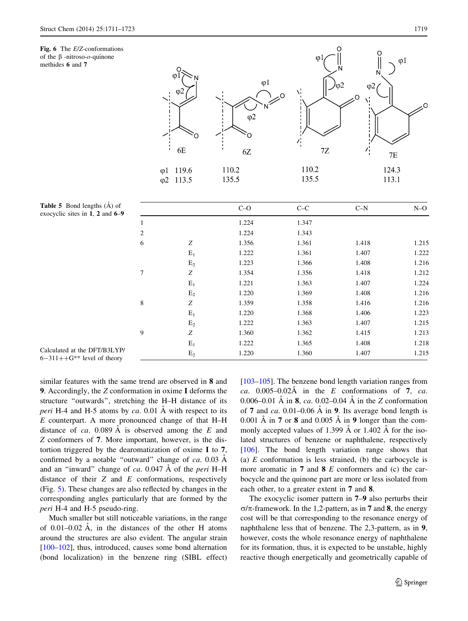<span id="page-8-0"></span>Fig. 6 The E/Z-conformations of the  $\beta$  -nitroso- $o$ -quinone methides 6 and 7



**Table 5** Bond lengths  $(\hat{A})$  of exocyclic sites in  $\overline{1}$ , 2 and  $\overline{6}$ -9

|                |                | $C-O$ | $C-C$ | $C-N$ | $N=O$ |
|----------------|----------------|-------|-------|-------|-------|
| 1              |                | 1.224 | 1.347 |       |       |
| $\overline{2}$ |                | 1.224 | 1.343 |       |       |
| 6              | Ζ              | 1.356 | 1.361 | 1.418 | 1.215 |
|                | $E_1$          | 1.222 | 1.361 | 1.407 | 1.222 |
|                | $E_2$          | 1.223 | 1.366 | 1.408 | 1.216 |
| 7              | Ζ              | 1.354 | 1.356 | 1.418 | 1.212 |
|                | $E_1$          | 1.221 | 1.363 | 1.407 | 1.224 |
|                | $E_2$          | 1.220 | 1.369 | 1.408 | 1.216 |
| 8              | Ζ              | 1.359 | 1.358 | 1.416 | 1.216 |
|                | $E_1$          | 1.220 | 1.368 | 1.406 | 1.223 |
|                | $E_2$          | 1.222 | 1.363 | 1.407 | 1.215 |
| 9              | Ζ              | 1.360 | 1.362 | 1.415 | 1.213 |
|                | $\mathbf{E}_1$ | 1.222 | 1.365 | 1.408 | 1.218 |
|                | $E_2$          | 1.220 | 1.360 | 1.407 | 1.215 |

Calculated at the DFT/B3LYP/  $6-311++G^{**}$  level of theory

similar features with the same trend are observed in 8 and 9. Accordingly, the Z conformation in oxime I deforms the structure ''outwards'', stretching the H–H distance of its *peri* H-4 and H-5 atoms by ca. 0.01 Å with respect to its E counterpart. A more pronounced change of that H–H distance of ca. 0.089 A is observed among the  $E$  and Z conformers of 7. More important, however, is the distortion triggered by the dearomatization of oxime I to 7, confirmed by a notable "outward" change of  $ca$ . 0.03 Å and an "inward" change of ca.  $0.047 \text{ Å}$  of the *peri* H–H distance of their  $Z$  and  $E$  conformations, respectively (Fig. [5](#page-7-0)). These changes are also reflected by changes in the corresponding angles particularly that are formed by the peri H-4 and H-5 pseudo-ring.

Much smaller but still noticeable variations, in the range of  $0.01-0.02$  Å, in the distances of the other H atoms around the structures are also evident. The angular strain [\[100–102](#page-12-0)], thus, introduced, causes some bond alternation (bond localization) in the benzene ring (SIBL effect) [\[103–105](#page-12-0)]. The benzene bond length variation ranges from ca. 0.005–0.02 $\AA$  in the E conformations of 7, ca. 0.006–0.01 Å in 8, ca. 0.02–0.04 Å in the Z conformation of 7 and ca. 0.01–0.06 Å in 9. Its average bond length is 0.001  $\AA$  in 7 or 8 and 0.005  $\AA$  in 9 longer than the commonly accepted values of 1.399  $\AA$  or 1.402  $\AA$  for the isolated structures of benzene or naphthalene, respectively [\[106](#page-12-0)]. The bond length variation range shows that (a)  $E$  conformation is less strained, (b) the carbocycle is more aromatic in 7 and 8 E conformers and (c) the carbocycle and the quinone part are more or less isolated from each other, to a greater extent in 7 and 8.

The exocyclic isomer pattern in 7–9 also perturbs their  $\sigma/\pi$ -framework. In the 1,2-pattern, as in 7 and 8, the energy cost will be that corresponding to the resonance energy of naphthalene less that of benzene. The 2,3-pattern, as in 9, however, costs the whole resonance energy of naphthalene for its formation, thus, it is expected to be unstable, highly reactive though energetically and geometrically capable of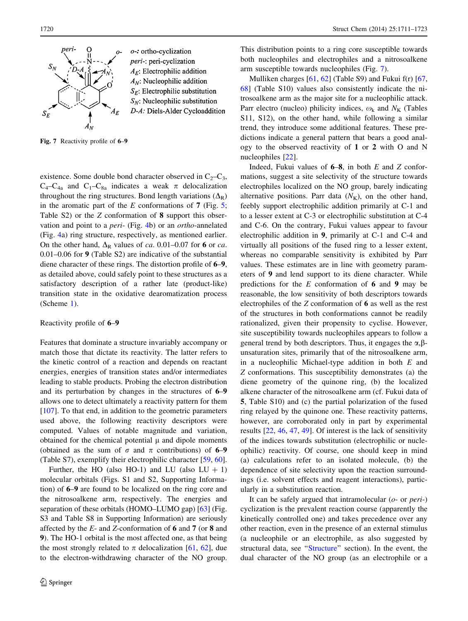<span id="page-9-0"></span>

o-: ortho-cyclization *peri-*: peri-cyclization  $A_E$ : Electrophilic addition  $A_N$ : Nucleophilic addition  $S_F$ : Electrophilic substitution  $S_N$ : Nucleophilic substitution D-A: Diels-Alder Cycloaddition

Fig. 7 Reactivity profile of 6–9

existence. Some double bond character observed in  $C_2-C_3$ ,  $C_4-C_{4a}$  and  $C_1-C_{8a}$  indicates a weak  $\pi$  delocalization throughout the ring structures. Bond length variations  $(\Delta_R)$ in the aromatic part of the  $E$  conformations of 7 (Fig. [5](#page-7-0); Table S2) or the Z conformation of 8 support this observation and point to a peri- (Fig. [4b](#page-6-0)) or an ortho-annelated (Fig. [4](#page-6-0)a) ring structure, respectively, as mentioned earlier. On the other hand,  $\Delta_R$  values of ca. 0.01–0.07 for 6 or ca. 0.01–0.06 for 9 (Table S2) are indicative of the substantial diene character of these rings. The distortion profile of 6–9, as detailed above, could safely point to these structures as a satisfactory description of a rather late (product-like) transition state in the oxidative dearomatization process (Scheme [1](#page-5-0)).

# Reactivity profile of 6–9

Features that dominate a structure invariably accompany or match those that dictate its reactivity. The latter refers to the kinetic control of a reaction and depends on reactant energies, energies of transition states and/or intermediates leading to stable products. Probing the electron distribution and its perturbation by changes in the structures of 6–9 allows one to detect ultimately a reactivity pattern for them [\[107](#page-12-0)]. To that end, in addition to the geometric parameters used above, the following reactivity descriptors were computed. Values of notable magnitude and variation, obtained for the chemical potential  $\mu$  and dipole moments (obtained as the sum of  $\sigma$  and  $\pi$  contributions) of 6–9 (Table S7), exemplify their electrophilic character [\[59](#page-11-0), [60](#page-11-0)].

Further, the HO (also HO-1) and LU (also  $LU + 1$ ) molecular orbitals (Figs. S1 and S2, Supporting Information) of 6–9 are found to be localized on the ring core and the nitrosoalkene arm, respectively. The energies and separation of these orbitals (HOMO–LUMO gap) [\[63](#page-11-0)] (Fig. S3 and Table S8 in Supporting Information) are seriously affected by the E- and Z-conformation of 6 and 7 (or 8 and 9). The HO-1 orbital is the most affected one, as that being the most strongly related to  $\pi$  delocalization [[61,](#page-11-0) [62](#page-11-0)], due to the electron-withdrawing character of the NO group.

This distribution points to a ring core susceptible towards both nucleophiles and electrophiles and a nitrosoalkene arm susceptible towards nucleophiles (Fig. 7).

Mulliken charges [\[61](#page-11-0), [62](#page-11-0)] (Table S9) and Fukui f(r) [[67,](#page-11-0) [68](#page-11-0)] (Table S10) values also consistently indicate the nitrosoalkene arm as the major site for a nucleophilic attack. Parr electro (nucleo) philicity indices,  $\omega_k$  and  $N_K$  (Tables S11, S12), on the other hand, while following a similar trend, they introduce some additional features. These predictions indicate a general pattern that bears a good analogy to the observed reactivity of 1 or 2 with O and N nucleophiles [\[22](#page-11-0)].

Indeed, Fukui values of  $6-8$ , in both E and Z conformations, suggest a site selectivity of the structure towards electrophiles localized on the NO group, barely indicating alternative positions. Parr data  $(N_K)$ , on the other hand, feebly support electrophilic addition primarily at C-1 and to a lesser extent at C-3 or electrophilic substitution at C-4 and C-6. On the contrary, Fukui values appear to favour electrophilic addition in 9, primarily at C-1 and C-4 and virtually all positions of the fused ring to a lesser extent, whereas no comparable sensitivity is exhibited by Parr values. These estimates are in line with geometry parameters of 9 and lend support to its diene character. While predictions for the  $E$  conformation of 6 and 9 may be reasonable, the low sensitivity of both descriptors towards electrophiles of the Z conformation of 6 as well as the rest of the structures in both conformations cannot be readily rationalized, given their propensity to cyclise. However, site susceptibility towards nucleophiles appears to follow a general trend by both descriptors. Thus, it engages the  $\alpha$ , $\beta$ unsaturation sites, primarily that of the nitrosoalkene arm, in a nucleophilic Michael-type addition in both  $E$  and Z conformations. This susceptibility demonstrates (a) the diene geometry of the quinone ring, (b) the localized alkene character of the nitrosoalkene arm (cf. Fukui data of 5, Table S10) and (c) the partial polarization of the fused ring relayed by the quinone one. These reactivity patterns, however, are corroborated only in part by experimental results [\[22](#page-11-0), [46,](#page-11-0) [47,](#page-11-0) [49\]](#page-11-0). Of interest is the lack of sensitivity of the indices towards substitution (electrophilic or nucleophilic) reactivity. Of course, one should keep in mind (a) calculations refer to an isolated molecule, (b) the dependence of site selectivity upon the reaction surroundings (i.e. solvent effects and reagent interactions), particularly in a substitution reaction.

It can be safely argued that intramolecular  $(o$ - or  $peri$ -) cyclization is the prevalent reaction course (apparently the kinetically controlled one) and takes precedence over any other reaction, even in the presence of an external stimulus (a nucleophile or an electrophile, as also suggested by structural data, see '['Structure](#page-4-0)'' section). In the event, the dual character of the NO group (as an electrophile or a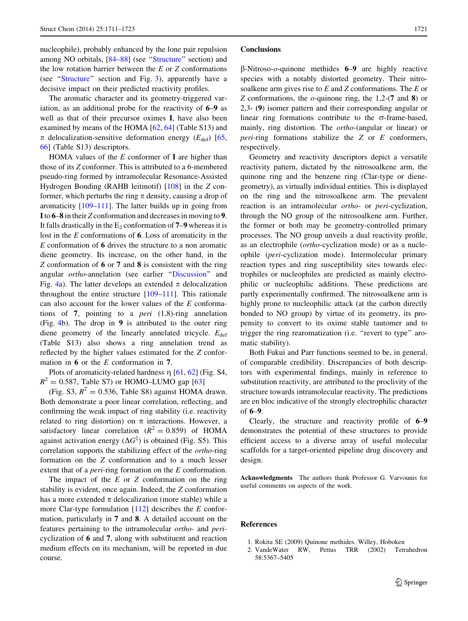<span id="page-10-0"></span>nucleophile), probably enhanced by the lone pair repulsion among NO orbitals, [\[84–88](#page-12-0)] (see '['Structure](#page-4-0)'' section) and the low rotation barrier between the  $E$  or  $Z$  conformations (see "[Structure](#page-4-0)" section and Fig. [3](#page-3-0)), apparently have a decisive impact on their predicted reactivity profiles.

The aromatic character and its geometry-triggered variation, as an additional probe for the reactivity of 6–9 as well as that of their precursor oximes I, have also been examined by means of the HOMA [\[62](#page-11-0), [64](#page-11-0)] (Table S13) and  $\pi$  delocalization-sensitive deformation energy ( $E_{\text{def}}$ ) [[65,](#page-11-0) [66](#page-11-0)] (Table S13) descriptors.

HOMA values of the  $E$  conformer of  $I$  are higher than those of its Z conformer. This is attributed to a 6-membered pseudo-ring formed by intramolecular Resonance-Assisted Hydrogen Bonding (RAHB leitmotif) [[108\]](#page-12-0) in the Z conformer, which perturbs the ring  $\pi$  density, causing a drop of aromaticity [[109–111\]](#page-12-0). The latter builds up in going from Ito 6–8 in their Z conformation and decreases in moving to 9. It falls drastically in the  $E_2$  conformation of 7–9 whereas it is lost in the  $E$  conformations of 6. Loss of aromaticity in the E conformation of 6 drives the structure to a non aromatic diene geometry. Its increase, on the other hand, in the Z conformation of 6 or 7 and 8 is consistent with the ring angular ortho-annelation (see earlier '['Discussion](#page-4-0)'' and Fig. [4](#page-6-0)a). The latter develops an extended  $\pi$  delocalization throughout the entire structure  $[109-111]$ . This rationale can also account for the lower values of the E conformations of 7, pointing to a *peri*  $(1,8)$ -ring annelation (Fig. [4](#page-6-0)b). The drop in 9 is attributed to the outer ring diene geometry of the linearly annelated tricycle.  $E_{\text{def}}$ (Table S13) also shows a ring annelation trend as reflected by the higher values estimated for the Z conformation in 6 or the E conformation in 7.

Plots of aromaticity-related hardness  $\eta$  [\[61,](#page-11-0) [62\]](#page-11-0) (Fig. S4,  $R^{2} = 0.587$ , Table S7) or HOMO–LUMO gap [[63\]](#page-11-0)

(Fig. S3,  $R^2 = 0.536$ , Table S8) against HOMA drawn. Both demonstrate a poor linear correlation, reflecting, and confirming the weak impact of ring stability (i.e. reactivity related to ring distortion) on  $\pi$  interactions. However, a satisfactory linear correlation ( $R^2 = 0.859$ ) of HOMA against activation energy  $(\Delta G^{\ddagger})$  is obtained (Fig. S5). This correlation supports the stabilizing effect of the ortho-ring formation on the Z conformation and to a much lesser extent that of a *peri*-ring formation on the E conformation.

The impact of the  $E$  or  $Z$  conformation on the ring stability is evident, once again. Indeed, the Z conformation has a more extended  $\pi$  delocalization (more stable) while a more Clar-type formulation  $[112]$  $[112]$  describes the E conformation, particularly in 7 and 8. A detailed account on the features pertaining to the intramolecular ortho- and pericyclization of 6 and 7, along with substituent and reaction medium effects on its mechanism, will be reported in due course.

#### **Conclusions**

 $\beta$ -Nitroso-*o*-quinone methides **6–9** are highly reactive species with a notably distorted geometry. Their nitrosoalkene arm gives rise to  $E$  and  $Z$  conformations. The  $E$  or Z conformations, the  $o$ -quinone ring, the 1,2-(7 and 8) or 2,3- (9) isomer pattern and their corresponding angular or linear ring formations contribute to the  $\sigma$ -frame-based, mainly, ring distortion. The ortho-(angular or linear) or *peri-ring* formations stabilize the  $Z$  or  $E$  conformers, respectively.

Geometry and reactivity descriptors depict a versatile reactivity pattern, dictated by the nitrosoalkene arm, the quinone ring and the benzene ring (Clar-type or dienegeometry), as virtually individual entities. This is displayed on the ring and the nitrosoalkene arm. The prevalent reaction is an intramolecular *ortho-* or *peri-cyclization*, through the NO group of the nitrosoalkene arm. Further, the former or both may be geometry-controlled primary processes. The NO group unveils a dual reactivity profile, as an electrophile (ortho-cyclization mode) or as a nucleophile (peri-cyclization mode). Intermolecular primary reaction types and ring susceptibility sites towards electrophiles or nucleophiles are predicted as mainly electrophilic or nucleophilic additions. These predictions are partly experimentally confirmed. The nitrosoalkene arm is highly prone to nucleophilic attack (at the carbon directly bonded to NO group) by virtue of its geometry, its propensity to convert to its oxime stable tautomer and to trigger the ring rearomatization (i.e. ''revert to type'' aromatic stability).

Both Fukui and Parr functions seemed to be, in general, of comparable credibility. Discrepancies of both descriptors with experimental findings, mainly in reference to substitution reactivity, are attributed to the proclivity of the structure towards intramolecular reactivity. The predictions are en bloc indicative of the strongly electrophilic character of 6–9.

Clearly, the structure and reactivity profile of 6–9 demonstrates the potential of these structures to provide efficient access to a diverse array of useful molecular scaffolds for a target-oriented pipeline drug discovery and design.

Acknowledgments The authors thank Professor G. Varvounis for useful comments on aspects of the work.

# References

- 1. Rokita SE (2009) Quinone methides. Willey, Hoboken
- 2. VandeWater RW, Pettus TRR (2002) Tetrahedron 58:5367–5405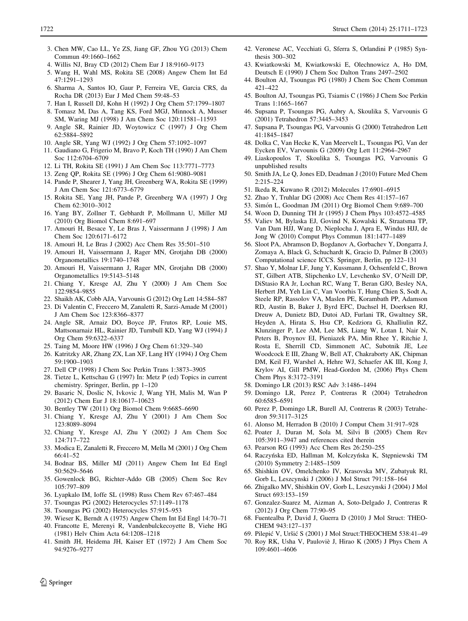- <span id="page-11-0"></span>3. Chen MW, Cao LL, Ye ZS, Jiang GF, Zhou YG (2013) Chem Commun 49:1660–1662
- 4. Willis NJ, Bray CD (2012) Chem Eur J 18:9160–9173
- 5. Wang H, Wahl MS, Rokita SE (2008) Angew Chem Int Ed 47:1291–1293
- 6. Sharma A, Santos IO, Gaur P, Ferreira VE, Garcia CRS, da Rocha DR (2013) Eur J Med Chem 59:48–53
- 7. Han I, Russell DJ, Kohn H (1992) J Org Chem 57:1799–1807
- 8. Tomasz M, Das A, Tang KS, Ford MGJ, Minnock A, Musser
- SM, Waring MJ (1998) J Am Chem Soc 120:11581–11593 9. Angle SR, Rainier JD, Woytowicz C (1997) J Org Chem 62:5884–5892
- 10. Angle SR, Yang WJ (1992) J Org Chem 57:1092–1097
- 11. Gaudiano G, Frigerio M, Bravo P, Koch TH (1990) J Am Chem Soc 112:6704–6709
- 12. Li TH, Rokita SE (1991) J Am Chem Soc 113:7771–7773
- 13. Zeng QP, Rokita SE (1996) J Org Chem 61:9080–9081
- 14. Pande P, Shearer J, Yang JH, Greenberg WA, Rokita SE (1999) J Am Chem Soc 121:6773–6779
- 15. Rokita SE, Yang JH, Pande P, Greenberg WA (1997) J Org Chem 62:3010–3012
- 16. Yang BY, Zollner T, Gebhardt P, Mollmann U, Miller MJ (2010) Org Biomol Chem 8:691–697
- 17. Amouri H, Besace Y, Le Bras J, Vaissermann J (1998) J Am Chem Soc 120:6171–6172
- 18. Amouri H, Le Bras J (2002) Acc Chem Res 35:501–510
- 19. Amouri H, Vaissermann J, Rager MN, Grotjahn DB (2000) Organometallics 19:1740–1748
- 20. Amouri H, Vaissermann J, Rager MN, Grotjahn DB (2000) Organometallics 19:5143–5148
- 21. Chiang Y, Kresge AJ, Zhu Y (2000) J Am Chem Soc 122:9854–9855
- 22. Shaikh AK, Cobb AJA, Varvounis G (2012) Org Lett 14:584–587
- 23. Di Valentin C, Freccero M, Zanaletti R, Sarzi-Amade M (2001) J Am Chem Soc 123:8366–8377
- 24. Angle SR, Arnaiz DO, Boyce JP, Frutos RP, Louie MS, Mattsonarnaiz HL, Rainier JD, Turnbull KD, Yang WJ (1994) J Org Chem 59:6322–6337
- 25. Taing M, Moore HW (1996) J Org Chem 61:329–340
- 26. Katritzky AR, Zhang ZX, Lan XF, Lang HY (1994) J Org Chem 59:1900–1903
- 27. Dell CP (1998) J Chem Soc Perkin Trans 1:3873–3905
- 28. Tietze L, Kettschau G (1997) In: Metz P (ed) Topics in current chemistry. Springer, Berlin, pp 1–120
- 29. Basaric N, Doslic N, Ivkovic J, Wang YH, Malis M, Wan P (2012) Chem Eur J 18:10617–10623
- 30. Bentley TW (2011) Org Biomol Chem 9:6685–6690
- 31. Chiang Y, Kresge AJ, Zhu Y (2001) J Am Chem Soc 123:8089–8094
- 32. Chiang Y, Kresge AJ, Zhu Y (2002) J Am Chem Soc 124:717–722
- 33. Modica E, Zanaletti R, Freccero M, Mella M (2001) J Org Chem 66:41–52
- 34. Bodnar BS, Miller MJ (2011) Angew Chem Int Ed Engl 50:5629–5646
- 35. Gowenlock BG, Richter-Addo GB (2005) Chem Soc Rev 105:797–809
- 36. Lyapkalo IM, Ioffe SL (1998) Russ Chem Rev 67:467–484
- 37. Tsoungas PG (2002) Heterocycles 57:1149–1178
- 38. Tsoungas PG (2002) Heterocycles 57:915–953
- 39. Wieser K, Berndt A (1975) Angew Chem Int Ed Engl 14:70–71
- 40. Francotte E, Merenyi R, Vandenbulckecoyette B, Viehe HG (1981) Helv Chim Acta 64:1208–1218
- 41. Smith JH, Heidema JH, Kaiser ET (1972) J Am Chem Soc 94:9276–9277
- 42. Veronese AC, Vecchiati G, Sferra S, Orlandini P (1985) Synthesis 300–302
- 43. Kwiatkowski M, Kwiatkowski E, Olechnowicz A, Ho DM, Deutsch E (1990) J Chem Soc Dalton Trans 2497–2502
- 44. Boulton AJ, Tsoungas PG (1980) J Chem Soc Chem Commun 421–422
- 45. Boulton AJ, Tsoungas PG, Tsiamis C (1986) J Chem Soc Perkin Trans 1:1665–1667
- 46. Supsana P, Tsoungas PG, Aubry A, Skoulika S, Varvounis G (2001) Tetrahedron 57:3445–3453
- 47. Supsana P, Tsoungas PG, Varvounis G (2000) Tetrahedron Lett 41:1845–1847
- 48. Dolka C, Van Hecke K, Van Meervelt L, Tsoungas PG, Van der Eycken EV, Varvounis G (2009) Org Lett 11:2964–2967
- 49. Liaskopoulos T, Skoulika S, Tsoungas PG, Varvounis G unpublished results
- 50. Smith JA, Le Q, Jones ED, Deadman J (2010) Future Med Chem 2:215–224
- 51. Ikeda R, Kuwano R (2012) Molecules 17:6901–6915
- 52. Zhao Y, Truhlar DG (2008) Acc Chem Res 41:157–167
- 53. Simón L, Goodman JM (2011) Org Biomol Chem 9:689-700
- 54. Woon D, Dunning TH Jr (1995) J Chem Phys 103:4572–4585
- 55. Valiev M, Bylaska EJ, Govind N, Kowalski K, Straatsma TP, Van Dam HJJ, Wang D, Nieplocha J, Apra E, Windus HJJ, de Jong W (2010) Comput Phys Commun 181:1477–1489
- 56. Sloot PA, Abramson D, Bogdanov A, Gorbachev Y, Dongarra J, Zomaya A, Black G, Schuchardt K, Gracio D, Palmer B (2003) Computational science ICCS. Springer, Berlin, pp 122–131
- 57. Shao Y, Molnar LF, Jung Y, Kussmann J, Ochsenfeld C, Brown ST, Gilbert ATB, Slipchenko LV, Levchenko SV, O'Neill DP, DiStasio RA Jr, Lochan RC, Wang T, Beran GJO, Besley NA, Herbert JM, Yeh Lin C, Van Voorhis T, Hung Chien S, Sodt A, Steele RP, Rassolov VA, Maslen PE, Korambath PP, Adamson RD, Austin B, Baker J, Byrd EFC, Dachsel H, Doerksen RJ, Dreuw A, Dunietz BD, Dutoi AD, Furlani TR, Gwaltney SR, Heyden A, Hirata S, Hsu CP, Kedziora G, Khalliulin RZ, Klunzinger P, Lee AM, Lee MS, Liang W, Lotan I, Nair N, Peters B, Proynov EI, Pieniazek PA, Min Rhee Y, Ritchie J, Rosta E, Sherrill CD, Simmonett AC, Subotnik JE, Lee Woodcock E III, Zhang W, Bell AT, Chakraborty AK, Chipman DM, Keil FJ, Warshel A, Hehre WJ, Schaefer AK III, Kong J, Krylov AI, Gill PMW, Head-Gordon M, (2006) Phys Chem Chem Phys 8:3172–3191
- 58. Domingo LR (2013) RSC Adv 3:1486–1494
- 59. Domingo LR, Perez P, Contreras R (2004) Tetrahedron 60:6585–6591
- 60. Perez P, Domingo LR, Burell AJ, Contreras R (2003) Tetrahedron 59:3117–3125
- 61. Alonso M, Herradon B (2010) J Comput Chem 31:917–928
- 62. Poater J, Duran M, Sola M, Silvi B (2005) Chem Rev 105:3911–3947 and references cited therein
- 63. Pearson RG (1993) Acc Chem Res 26:250–255
- 64. Raczyńska ED, Hallman M, Kolczyńska K, Stępniewski TM (2010) Symmetry 2:1485–1509
- 65. Shishkin OV, Omelchenko IV, Krasovska MV, Zubatyuk RI, Gorb L, Leszcynski J (2006) J Mol Struct 791:158–164
- 66. Zhigalko MV, Shishkin OV, Gorb L, Leszcynski J (2004) J Mol Struct 693:153–159
- 67. Gonzalez-Suarez M, Aizman A, Soto-Delgado J, Contreras R (2012) J Org Chem 77:90–95
- 68. Fuentealba P, David J, Guerra D (2010) J Mol Struct: THEO-CHEM 943:127–137
- 69. Pilepić V, Uršić S (2001) J Mol Struct:THEOCHEM 538:41-49
- 70. Roy RK, Usha V, Pauloviè J, Hirao K (2005) J Phys Chem A 109:4601–4606